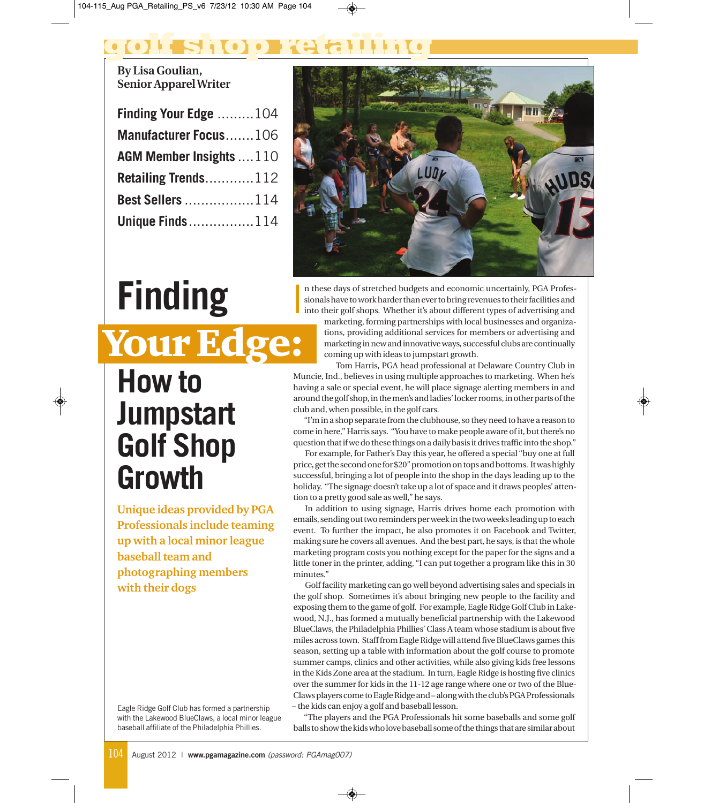## **golf shop retailing**

I

**By Lisa Goulian, Senior Apparel Writer**

| <b>Finding Your Edge</b> 104   |  |
|--------------------------------|--|
| Manufacturer Focus106          |  |
| <b>AGM Member Insights</b> 110 |  |
| <b>Retailing Trends112</b>     |  |
| <b>Best Sellers 114</b>        |  |
| <b>Unique Finds114</b>         |  |



## n these days of stretched budgets and economic uncertainly, PGA Professionals have to work harder than ever to bring revenues to their facilities and into their golf shops. Whether it's about different types of advertising and marketing, forming partnerships with local businesses and organizations, providing additional services for members or advertising and marketing in new and innovative ways, successful clubs are continually coming up with ideas to jumpstart growth.

Tom Harris, PGA head professional at Delaware Country Club in Muncie, Ind., believes in using multiple approaches to marketing. When he's having a sale or special event, he will place signage alerting members in and around the golf shop, in the men's and ladies' locker rooms, in other parts of the club and, when possible, in the golf cars.

"I'm in a shop separate from the clubhouse, so they need to have a reason to come in here," Harris says. "You have to make people aware of it, but there's no question that if we do these things on a daily basis it drives traffic into the shop."

For example, for Father's Day this year, he offered a special "buy one at full price, get the second one for \$20" promotion on tops and bottoms. It was highly successful, bringing a lot of people into the shop in the days leading up to the holiday. "The signage doesn't take up a lot of space and it draws peoples' attention to a pretty good sale as well," he says.

In addition to using signage, Harris drives home each promotion with emails, sending out two reminders per week in the two weeks leading up to each event. To further the impact, he also promotes it on Facebook and Twitter, making sure he covers all avenues. And the best part, he says, is that the whole marketing program costs you nothing except for the paper for the signs and a little toner in the printer, adding, "I can put together a program like this in 30 minutes."

Golf facility marketing can go well beyond advertising sales and specials in the golf shop. Sometimes it's about bringing new people to the facility and exposing them to the game of golf. For example, Eagle Ridge Golf Club in Lakewood, N.J., has formed a mutually beneficial partnership with the Lakewood BlueClaws, the Philadelphia Phillies' Class A team whose stadium is about five miles across town. Staff from Eagle Ridge will attend five BlueClaws games this season, setting up a table with information about the golf course to promote summer camps, clinics and other activities, while also giving kids free lessons in the Kids Zone area at the stadium. In turn, Eagle Ridge is hosting five clinics over the summer for kids in the 11-12 age range where one or two of the Blue-Claws players come to Eagle Ridge and – along with the club's PGA Professionals – the kids can enjoy a golf and baseball lesson.

"The players and the PGA Professionals hit some baseballs and some golf balls to show the kids who love baseball some of the things that are similar about

**How to Jumpstart Golf Shop Growth** Your Edge:

**Finding**

**Unique ideas provided by PGA Professionals include teaming up with a local minor league baseball team and photographing members with their dogs** 

Eagle Ridge Golf Club has formed a partnership with the Lakewood BlueClaws, a local minor league baseball affiliate of the Philadelphia Phillies.

104 August 2012 | **www.pgamagazine.com** (password: PGAmag007)